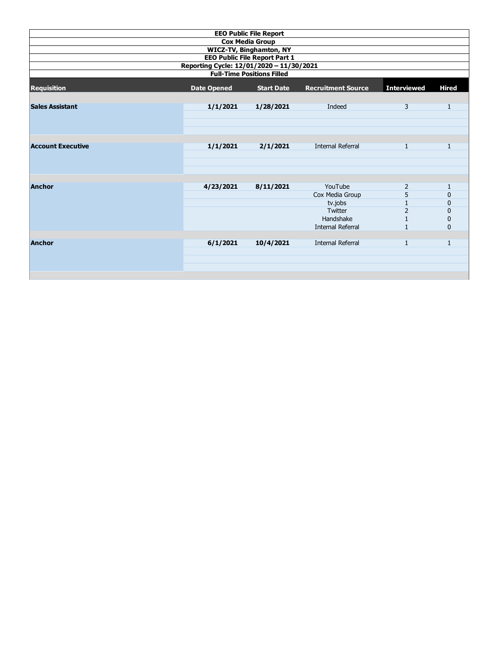| <b>EEO Public File Report</b>                                                                                         |           |           |                          |                |              |  |  |  |  |  |                    |                    |                   |                           |                    |              |
|-----------------------------------------------------------------------------------------------------------------------|-----------|-----------|--------------------------|----------------|--------------|--|--|--|--|--|--------------------|--------------------|-------------------|---------------------------|--------------------|--------------|
| <b>Cox Media Group</b>                                                                                                |           |           |                          |                |              |  |  |  |  |  |                    |                    |                   |                           |                    |              |
| <b>WICZ-TV, Binghamton, NY</b>                                                                                        |           |           |                          |                |              |  |  |  |  |  |                    |                    |                   |                           |                    |              |
| <b>EEO Public File Report Part 1</b><br>Reporting Cycle: 12/01/2020 - 11/30/2021<br><b>Full-Time Positions Filled</b> |           |           |                          |                |              |  |  |  |  |  |                    |                    |                   |                           |                    |              |
|                                                                                                                       |           |           |                          |                |              |  |  |  |  |  | <b>Requisition</b> | <b>Date Opened</b> | <b>Start Date</b> | <b>Recruitment Source</b> | <b>Interviewed</b> | <b>Hired</b> |
|                                                                                                                       |           |           |                          |                |              |  |  |  |  |  |                    |                    |                   |                           |                    |              |
| <b>Sales Assistant</b>                                                                                                | 1/1/2021  | 1/28/2021 | Indeed                   | 3              | 1            |  |  |  |  |  |                    |                    |                   |                           |                    |              |
|                                                                                                                       |           |           |                          |                |              |  |  |  |  |  |                    |                    |                   |                           |                    |              |
|                                                                                                                       |           |           |                          |                |              |  |  |  |  |  |                    |                    |                   |                           |                    |              |
|                                                                                                                       |           |           |                          |                |              |  |  |  |  |  |                    |                    |                   |                           |                    |              |
|                                                                                                                       |           |           |                          |                |              |  |  |  |  |  |                    |                    |                   |                           |                    |              |
| <b>Account Executive</b>                                                                                              | 1/1/2021  | 2/1/2021  | <b>Internal Referral</b> | 1              | $\mathbf{1}$ |  |  |  |  |  |                    |                    |                   |                           |                    |              |
|                                                                                                                       |           |           |                          |                |              |  |  |  |  |  |                    |                    |                   |                           |                    |              |
|                                                                                                                       |           |           |                          |                |              |  |  |  |  |  |                    |                    |                   |                           |                    |              |
|                                                                                                                       |           |           |                          |                |              |  |  |  |  |  |                    |                    |                   |                           |                    |              |
| <b>Anchor</b>                                                                                                         | 4/23/2021 | 8/11/2021 | YouTube                  | 2              | 1            |  |  |  |  |  |                    |                    |                   |                           |                    |              |
|                                                                                                                       |           |           | Cox Media Group          | 5              | 0            |  |  |  |  |  |                    |                    |                   |                           |                    |              |
|                                                                                                                       |           |           | tv.jobs                  |                | 0            |  |  |  |  |  |                    |                    |                   |                           |                    |              |
|                                                                                                                       |           |           | Twitter                  | $\overline{2}$ | $\mathbf{0}$ |  |  |  |  |  |                    |                    |                   |                           |                    |              |
|                                                                                                                       |           |           | Handshake                | 1              | 0            |  |  |  |  |  |                    |                    |                   |                           |                    |              |
|                                                                                                                       |           |           | <b>Internal Referral</b> | $\mathbf{1}$   | 0            |  |  |  |  |  |                    |                    |                   |                           |                    |              |
|                                                                                                                       |           |           |                          |                |              |  |  |  |  |  |                    |                    |                   |                           |                    |              |
| <b>Anchor</b>                                                                                                         | 6/1/2021  | 10/4/2021 | <b>Internal Referral</b> | $\mathbf{1}$   | $\mathbf{1}$ |  |  |  |  |  |                    |                    |                   |                           |                    |              |
|                                                                                                                       |           |           |                          |                |              |  |  |  |  |  |                    |                    |                   |                           |                    |              |
|                                                                                                                       |           |           |                          |                |              |  |  |  |  |  |                    |                    |                   |                           |                    |              |
|                                                                                                                       |           |           |                          |                |              |  |  |  |  |  |                    |                    |                   |                           |                    |              |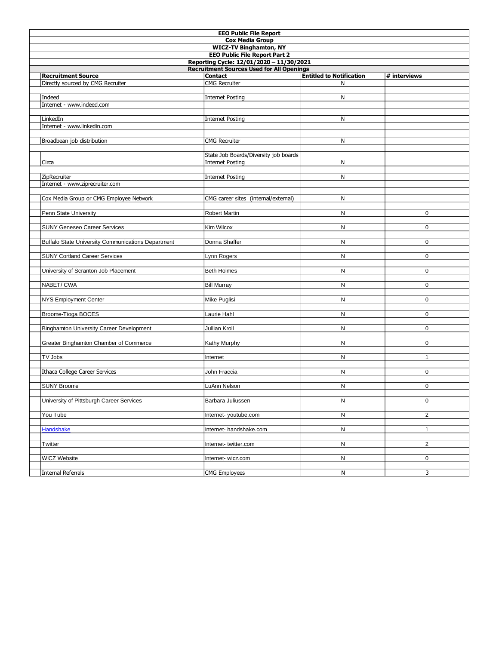|                                                    | <b>EEO Public File Report</b>         |                                 |                |  |  |  |  |  |
|----------------------------------------------------|---------------------------------------|---------------------------------|----------------|--|--|--|--|--|
| <b>Cox Media Group</b>                             |                                       |                                 |                |  |  |  |  |  |
| <b>WICZ-TV Binghamton, NY</b>                      |                                       |                                 |                |  |  |  |  |  |
| <b>EEO Public File Report Part 2</b>               |                                       |                                 |                |  |  |  |  |  |
| Reporting Cycle: 12/01/2020 - 11/30/2021           |                                       |                                 |                |  |  |  |  |  |
| <b>Recruitment Sources Used for All Openings</b>   |                                       |                                 |                |  |  |  |  |  |
| <b>Recruitment Source</b>                          | <b>Contact</b>                        | <b>Entitled to Notification</b> | # interviews   |  |  |  |  |  |
| Directly sourced by CMG Recruiter                  | <b>CMG</b> Recruiter                  | N                               |                |  |  |  |  |  |
|                                                    |                                       |                                 |                |  |  |  |  |  |
| Indeed                                             | <b>Internet Posting</b>               | N                               |                |  |  |  |  |  |
| Internet - www.indeed.com                          |                                       |                                 |                |  |  |  |  |  |
|                                                    |                                       |                                 |                |  |  |  |  |  |
| LinkedIn                                           | <b>Internet Posting</b>               | N                               |                |  |  |  |  |  |
| Internet - www.linkedin.com                        |                                       |                                 |                |  |  |  |  |  |
|                                                    |                                       |                                 |                |  |  |  |  |  |
| Broadbean job distribution                         | <b>CMG Recruiter</b>                  | N                               |                |  |  |  |  |  |
|                                                    |                                       |                                 |                |  |  |  |  |  |
|                                                    | State Job Boards/Diversity job boards |                                 |                |  |  |  |  |  |
| Circa                                              | <b>Internet Posting</b>               | N                               |                |  |  |  |  |  |
|                                                    |                                       |                                 |                |  |  |  |  |  |
| ZipRecruiter                                       | <b>Internet Posting</b>               | N                               |                |  |  |  |  |  |
| Internet - www.ziprecruiter.com                    |                                       |                                 |                |  |  |  |  |  |
|                                                    |                                       |                                 |                |  |  |  |  |  |
| Cox Media Group or CMG Employee Network            | CMG career sites (internal/external)  | Ν                               |                |  |  |  |  |  |
|                                                    |                                       |                                 |                |  |  |  |  |  |
| Penn State University                              | Robert Martin                         | N                               | $\mathbf 0$    |  |  |  |  |  |
|                                                    |                                       |                                 |                |  |  |  |  |  |
| <b>SUNY Geneseo Career Services</b>                | Kim Wilcox                            | N                               | $\mathbf 0$    |  |  |  |  |  |
|                                                    |                                       |                                 |                |  |  |  |  |  |
| Buffalo State University Communications Department | Donna Shaffer                         | N                               | $\mathbf 0$    |  |  |  |  |  |
|                                                    |                                       |                                 |                |  |  |  |  |  |
| <b>SUNY Cortland Career Services</b>               | Lynn Rogers                           | N                               | $\mathbf 0$    |  |  |  |  |  |
|                                                    |                                       |                                 |                |  |  |  |  |  |
| University of Scranton Job Placement               | <b>Beth Holmes</b>                    | N                               | $\mathbf 0$    |  |  |  |  |  |
|                                                    |                                       |                                 |                |  |  |  |  |  |
| NABET/CWA                                          | <b>Bill Murray</b>                    | N                               | $\mathbf 0$    |  |  |  |  |  |
|                                                    |                                       |                                 |                |  |  |  |  |  |
| <b>NYS Employment Center</b>                       | Mike Puglisi                          | N                               | 0              |  |  |  |  |  |
|                                                    |                                       |                                 |                |  |  |  |  |  |
| Broome-Tioga BOCES                                 | Laurie Hahl                           | N                               | $\mathbf 0$    |  |  |  |  |  |
|                                                    | Jullian Kroll                         | N                               | $\mathbf 0$    |  |  |  |  |  |
| <b>Binghamton University Career Development</b>    |                                       |                                 |                |  |  |  |  |  |
| Greater Binghamton Chamber of Commerce             | Kathy Murphy                          | N                               | $\mathbf 0$    |  |  |  |  |  |
|                                                    |                                       |                                 |                |  |  |  |  |  |
| TV Jobs                                            |                                       | N                               | $\mathbf{1}$   |  |  |  |  |  |
|                                                    | Internet                              |                                 |                |  |  |  |  |  |
| <b>Ithaca College Career Services</b>              | John Fraccia                          | N                               | $\mathbf 0$    |  |  |  |  |  |
|                                                    |                                       |                                 |                |  |  |  |  |  |
| <b>SUNY Broome</b>                                 | LuAnn Nelson                          | N                               | 0              |  |  |  |  |  |
|                                                    |                                       |                                 |                |  |  |  |  |  |
| University of Pittsburgh Career Services           | Barbara Juliussen                     | N                               | 0              |  |  |  |  |  |
|                                                    |                                       |                                 |                |  |  |  |  |  |
| You Tube                                           | Internet-youtube.com                  | N                               | $\overline{2}$ |  |  |  |  |  |
|                                                    |                                       |                                 |                |  |  |  |  |  |
| <b>Handshake</b>                                   | Internet- handshake.com               | N                               | $\mathbf{1}$   |  |  |  |  |  |
|                                                    |                                       |                                 |                |  |  |  |  |  |
| Twitter                                            | Internet-twitter.com                  | N                               | $\overline{2}$ |  |  |  |  |  |
|                                                    |                                       |                                 |                |  |  |  |  |  |
| <b>WICZ Website</b>                                | Internet- wicz.com                    | N                               | 0              |  |  |  |  |  |
|                                                    |                                       |                                 |                |  |  |  |  |  |
| Internal Referrals                                 | <b>CMG Employees</b>                  | N                               | 3              |  |  |  |  |  |
|                                                    |                                       |                                 |                |  |  |  |  |  |